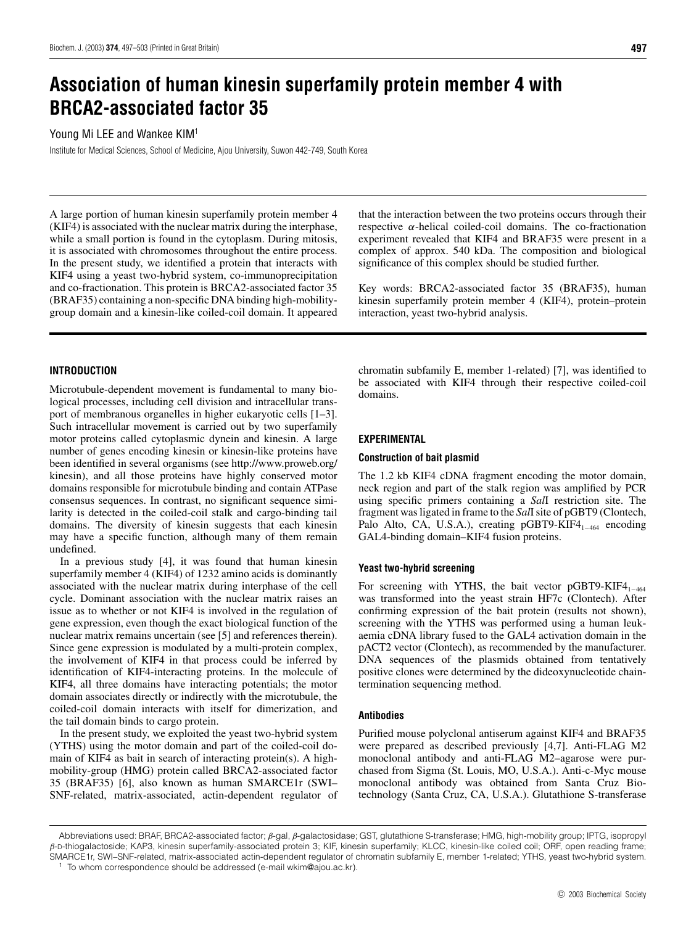# **Association of human kinesin superfamily protein member 4 with BRCA2-associated factor 35**

# Young Mi LEE and Wankee KIM<sup>1</sup>

Institute for Medical Sciences, School of Medicine, Ajou University, Suwon 442-749, South Korea

A large portion of human kinesin superfamily protein member 4 (KIF4) is associated with the nuclear matrix during the interphase, while a small portion is found in the cytoplasm. During mitosis, it is associated with chromosomes throughout the entire process. In the present study, we identified a protein that interacts with KIF4 using a yeast two-hybrid system, co-immunoprecipitation and co-fractionation. This protein is BRCA2-associated factor 35 (BRAF35) containing a non-specific DNA binding high-mobilitygroup domain and a kinesin-like coiled-coil domain. It appeared

# **INTRODUCTION**

Microtubule-dependent movement is fundamental to many biological processes, including cell division and intracellular transport of membranous organelles in higher eukaryotic cells [1–3]. Such intracellular movement is carried out by two superfamily motor proteins called cytoplasmic dynein and kinesin. A large number of genes encoding kinesin or kinesin-like proteins have been identified in several organisms (see http://www.proweb.org/ kinesin), and all those proteins have highly conserved motor domains responsible for microtubule binding and contain ATPase consensus sequences. In contrast, no significant sequence similarity is detected in the coiled-coil stalk and cargo-binding tail domains. The diversity of kinesin suggests that each kinesin may have a specific function, although many of them remain undefined.

In a previous study [4], it was found that human kinesin superfamily member 4 (KIF4) of 1232 amino acids is dominantly associated with the nuclear matrix during interphase of the cell cycle. Dominant association with the nuclear matrix raises an issue as to whether or not KIF4 is involved in the regulation of gene expression, even though the exact biological function of the nuclear matrix remains uncertain (see [5] and references therein). Since gene expression is modulated by a multi-protein complex, the involvement of KIF4 in that process could be inferred by identification of KIF4-interacting proteins. In the molecule of KIF4, all three domains have interacting potentials; the motor domain associates directly or indirectly with the microtubule, the coiled-coil domain interacts with itself for dimerization, and the tail domain binds to cargo protein.

In the present study, we exploited the yeast two-hybrid system (YTHS) using the motor domain and part of the coiled-coil domain of KIF4 as bait in search of interacting protein(s). A highmobility-group (HMG) protein called BRCA2-associated factor 35 (BRAF35) [6], also known as human SMARCE1r (SWI– SNF-related, matrix-associated, actin-dependent regulator of that the interaction between the two proteins occurs through their respective *α*-helical coiled-coil domains. The co-fractionation experiment revealed that KIF4 and BRAF35 were present in a complex of approx. 540 kDa. The composition and biological significance of this complex should be studied further.

Key words: BRCA2-associated factor 35 (BRAF35), human kinesin superfamily protein member 4 (KIF4), protein–protein interaction, yeast two-hybrid analysis.

chromatin subfamily E, member 1-related) [7], was identified to be associated with KIF4 through their respective coiled-coil domains.

# **EXPERIMENTAL**

#### **Construction of bait plasmid**

The 1.2 kb KIF4 cDNA fragment encoding the motor domain, neck region and part of the stalk region was amplified by PCR using specific primers containing a *Sal*I restriction site. The fragment was ligated in frame to the *Sal*I site of pGBT9 (Clontech, Palo Alto, CA, U.S.A.), creating pGBT9-KIF4<sub>1−464</sub> encoding GAL4-binding domain–KIF4 fusion proteins.

#### **Yeast two-hybrid screening**

For screening with YTHS, the bait vector pGBT9-KIF4<sub>1−464</sub> was transformed into the yeast strain HF7c (Clontech). After confirming expression of the bait protein (results not shown), screening with the YTHS was performed using a human leukaemia cDNA library fused to the GAL4 activation domain in the pACT2 vector (Clontech), as recommended by the manufacturer. DNA sequences of the plasmids obtained from tentatively positive clones were determined by the dideoxynucleotide chaintermination sequencing method.

#### **Antibodies**

Purified mouse polyclonal antiserum against KIF4 and BRAF35 were prepared as described previously [4,7]. Anti-FLAG M2 monoclonal antibody and anti-FLAG M2–agarose were purchased from Sigma (St. Louis, MO, U.S.A.). Anti-c-Myc mouse monoclonal antibody was obtained from Santa Cruz Biotechnology (Santa Cruz, CA, U.S.A.). Glutathione S-transferase

Abbreviations used: BRAF, BRCA2-associated factor; *β*-gal, *β*-galactosidase; GST, glutathione S-transferase; HMG, high-mobility group; IPTG, isopropyl *β*-D-thiogalactoside; KAP3, kinesin superfamily-associated protein 3; KIF, kinesin superfamily; KLCC, kinesin-like coiled coil; ORF, open reading frame; SMARCE1r, SWI–SNF-related, matrix-associated actin-dependent regulator of chromatin subfamily E, member 1-related; YTHS, yeast two-hybrid system. <sup>1</sup> To whom correspondence should be addressed (e-mail wkim@ajou.ac.kr).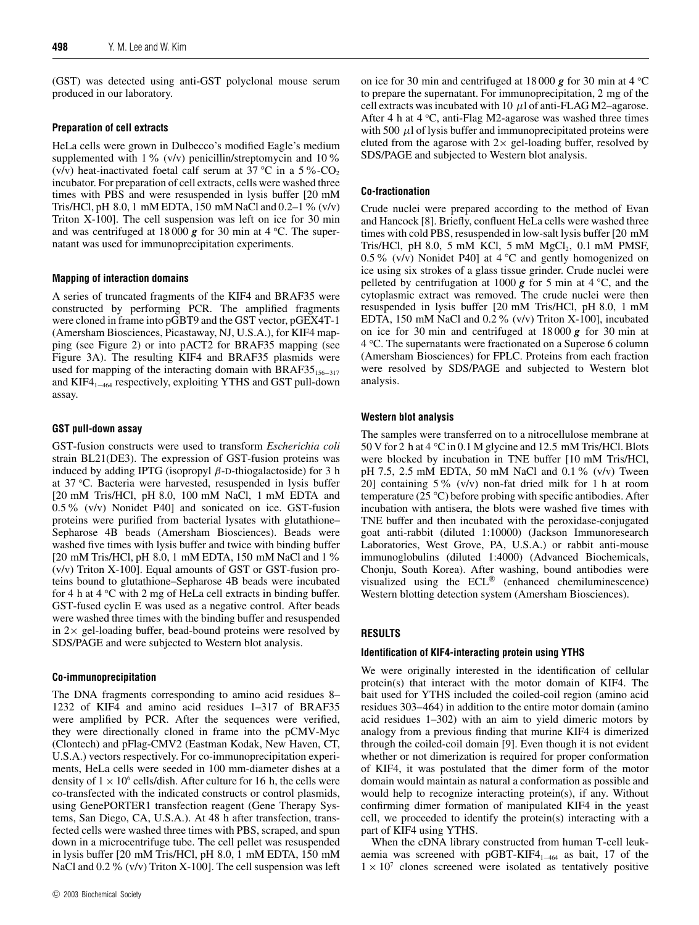(GST) was detected using anti-GST polyclonal mouse serum produced in our laboratory.

#### **Preparation of cell extracts**

HeLa cells were grown in Dulbecco's modified Eagle's medium supplemented with 1% (v/v) penicillin/streptomycin and 10% (v/v) heat-inactivated foetal calf serum at 37 <sup>°</sup>C in a 5 <sup>%</sup> − CO<sub>2</sub> incubator. For preparation of cell extracts, cells were washed three times with PBS and were resuspended in lysis buffer [20 mM Tris/HCl, pH 8.0, 1 mM EDTA, 150 mM NaCl and 0.2–1% (v/v) Triton X-100]. The cell suspension was left on ice for 30 min and was centrifuged at 18 000 *g* for 30 min at 4 *◦* C. The supernatant was used for immunoprecipitation experiments.

#### **Mapping of interaction domains**

A series of truncated fragments of the KIF4 and BRAF35 were constructed by performing PCR. The amplified fragments were cloned in frame into pGBT9 and the GST vector, pGEX4T-1 (Amersham Biosciences, Picastaway, NJ, U.S.A.), for KIF4 mapping (see Figure 2) or into pACT2 for BRAF35 mapping (see Figure 3A). The resulting KIF4 and BRAF35 plasmids were used for mapping of the interacting domain with BRAF35 $_{156-317}$ and KIF4 $_{1-464}$  respectively, exploiting YTHS and GST pull-down assay.

# **GST pull-down assay**

GST-fusion constructs were used to transform *Escherichia coli* strain BL21(DE3). The expression of GST-fusion proteins was induced by adding IPTG (isopropyl *β*-D-thiogalactoside) for 3 h at 37 *◦*C. Bacteria were harvested, resuspended in lysis buffer [20 mM Tris/HCl, pH 8.0, 100 mM NaCl, 1 mM EDTA and 0.5% (v/v) Nonidet P40] and sonicated on ice. GST-fusion proteins were purified from bacterial lysates with glutathione– Sepharose 4B beads (Amersham Biosciences). Beads were washed five times with lysis buffer and twice with binding buffer [20 mM Tris/HCl, pH 8.0, 1 mM EDTA, 150 mM NaCl and 1% (v/v) Triton X-100]. Equal amounts of GST or GST-fusion proteins bound to glutathione–Sepharose 4B beads were incubated for 4 h at 4 *◦*C with 2 mg of HeLa cell extracts in binding buffer. GST-fused cyclin E was used as a negative control. After beads were washed three times with the binding buffer and resuspended in  $2 \times$  gel-loading buffer, bead-bound proteins were resolved by SDS/PAGE and were subjected to Western blot analysis.

#### **Co-immunoprecipitation**

The DNA fragments corresponding to amino acid residues 8– 1232 of KIF4 and amino acid residues 1–317 of BRAF35 were amplified by PCR. After the sequences were verified, they were directionally cloned in frame into the pCMV-Myc (Clontech) and pFlag-CMV2 (Eastman Kodak, New Haven, CT, U.S.A.) vectors respectively. For co-immunoprecipitation experiments, HeLa cells were seeded in 100 mm-diameter dishes at a density of  $1 \times 10^6$  cells/dish. After culture for 16 h, the cells were co-transfected with the indicated constructs or control plasmids, using GenePORTER1 transfection reagent (Gene Therapy Systems, San Diego, CA, U.S.A.). At 48 h after transfection, transfected cells were washed three times with PBS, scraped, and spun down in a microcentrifuge tube. The cell pellet was resuspended in lysis buffer [20 mM Tris/HCl, pH 8.0, 1 mM EDTA, 150 mM NaCl and 0.2 % (v/v) Triton X-100]. The cell suspension was left

on ice for 30 min and centrifuged at 18 000 *g* for 30 min at 4 *◦*C to prepare the supernatant. For immunoprecipitation, 2 mg of the cell extracts was incubated with 10  $\mu$ l of anti-FLAG M2–agarose. After 4 h at 4 *◦*C, anti-Flag M2-agarose was washed three times with 500  $\mu$ l of lysis buffer and immunoprecipitated proteins were eluted from the agarose with  $2 \times$  gel-loading buffer, resolved by SDS/PAGE and subjected to Western blot analysis.

# **Co-fractionation**

Crude nuclei were prepared according to the method of Evan and Hancock [8]. Briefly, confluent HeLa cells were washed three times with cold PBS, resuspended in low-salt lysis buffer [20 mM Tris/HCl, pH 8.0, 5 mM KCl, 5 mM  $MgCl<sub>2</sub>$ , 0.1 mM PMSF, 0.5% (v/v) Nonidet P40] at 4 *◦* C and gently homogenized on ice using six strokes of a glass tissue grinder. Crude nuclei were pelleted by centrifugation at 1000 *g* for 5 min at 4 *◦*C, and the cytoplasmic extract was removed. The crude nuclei were then resuspended in lysis buffer [20 mM Tris/HCl, pH 8.0, 1 mM EDTA, 150 mM NaCl and 0.2% (v/v) Triton X-100], incubated on ice for 30 min and centrifuged at 18 000 *g* for 30 min at 4 *◦*C. The supernatants were fractionated on a Superose 6 column (Amersham Biosciences) for FPLC. Proteins from each fraction were resolved by SDS/PAGE and subjected to Western blot analysis.

# **Western blot analysis**

The samples were transferred on to a nitrocellulose membrane at 50 V for 2 h at 4 *◦* C in 0.1 M glycine and 12.5 mM Tris/HCl. Blots were blocked by incubation in TNE buffer [10 mM Tris/HCl, pH 7.5, 2.5 mM EDTA, 50 mM NaCl and 0.1% (v/v) Tween 20] containing 5% (v/v) non-fat dried milk for 1 h at room temperature (25 *◦*C) before probing with specific antibodies. After incubation with antisera, the blots were washed five times with TNE buffer and then incubated with the peroxidase-conjugated goat anti-rabbit (diluted 1:10000) (Jackson Immunoresearch Laboratories, West Grove, PA, U.S.A.) or rabbit anti-mouse immunoglobulins (diluted 1:4000) (Advanced Biochemicals, Chonju, South Korea). After washing, bound antibodies were visualized using the ECL® (enhanced chemiluminescence) Western blotting detection system (Amersham Biosciences).

# **RESULTS**

#### **Identification of KIF4-interacting protein using YTHS**

We were originally interested in the identification of cellular protein(s) that interact with the motor domain of KIF4. The bait used for YTHS included the coiled-coil region (amino acid residues 303–464) in addition to the entire motor domain (amino acid residues 1–302) with an aim to yield dimeric motors by analogy from a previous finding that murine KIF4 is dimerized through the coiled-coil domain [9]. Even though it is not evident whether or not dimerization is required for proper conformation of KIF4, it was postulated that the dimer form of the motor domain would maintain as natural a conformation as possible and would help to recognize interacting protein(s), if any. Without confirming dimer formation of manipulated KIF4 in the yeast cell, we proceeded to identify the protein(s) interacting with a part of KIF4 using YTHS.

When the cDNA library constructed from human T-cell leukaemia was screened with pGBT-KIF4<sub>1−464</sub> as bait, 17 of the  $1 \times 10^7$  clones screened were isolated as tentatively positive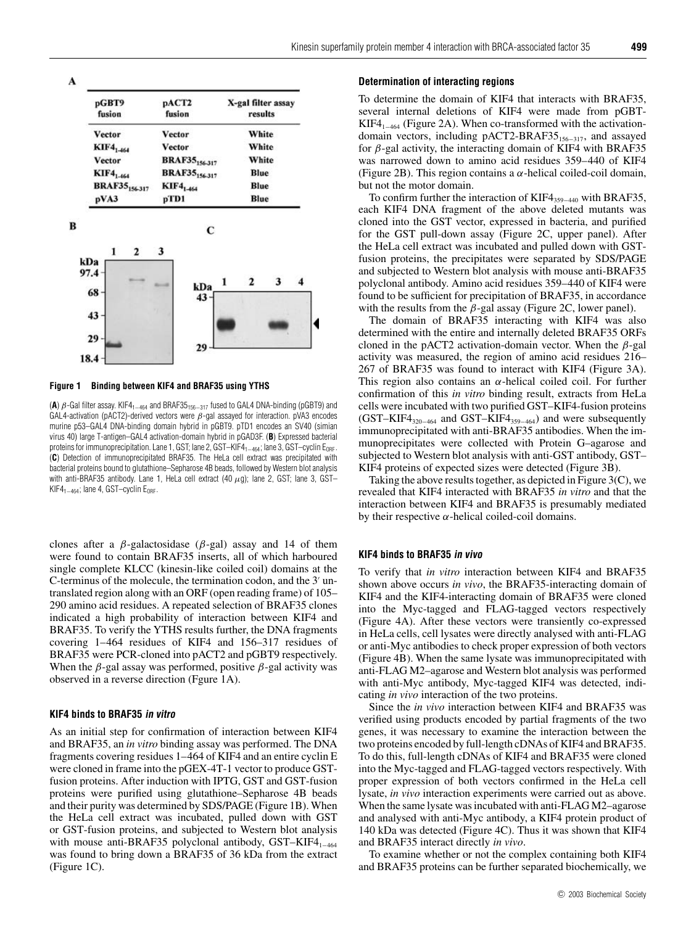|  |  | Kinesin superfamily protein member 4 interaction with BRCA-associated factor 35 | 499 |
|--|--|---------------------------------------------------------------------------------|-----|
|--|--|---------------------------------------------------------------------------------|-----|

43 29 18.4

| pGBT9<br>fusion                  | pACT2<br>fusion                  | X-gal filter assay<br>results |  |
|----------------------------------|----------------------------------|-------------------------------|--|
| Vector                           | Vector                           | White                         |  |
| KIF4 <sub>1-464</sub>            | Vector                           | White                         |  |
| Vector                           | <b>BRAF35</b> <sub>156-317</sub> | White                         |  |
| <b>KIF4</b> <sub>1-464</sub>     | <b>BRAF35</b> <sub>156-317</sub> | Blue                          |  |
| <b>BRAF35</b> <sub>156-317</sub> | KIF4 <sub>1-464</sub>            | Blue                          |  |
| pVA3                             | pTD1                             | Blue                          |  |
| 1<br>2                           | С<br>3                           |                               |  |
| kDa<br>97.4                      |                                  | 3<br>2<br>-1                  |  |

# **Figure 1 Binding between KIF4 and BRAF35 using YTHS**

(A)  $β$ -Gal filter assay. KIF4<sub>1−464</sub> and BRAF35<sub>156−317</sub> fused to GAL4 DNA-binding (pGBT9) and GAL4-activation (pACT2)-derived vectors were  $\beta$ -gal assayed for interaction. pVA3 encodes murine p53–GAL4 DNA-binding domain hybrid in pGBT9. pTD1 encodes an SV40 (simian virus 40) large T-antigen–GAL4 activation-domain hybrid in pGAD3F. (**B**) Expressed bacterial proteins for immunoprecipitation. Lane 1, GST; lane 2, GST–KIF4<sub>1–464</sub>; lane 3, GST–cyclin E<sub>ORF</sub>. (**C**) Detection of immunoprecipitated BRAF35. The HeLa cell extract was precipitated with bacterial proteins bound to glutathione–Sepharose 4B beads, followed by Western blot analysis with anti-BRAF35 antibody. Lane 1, HeLa cell extract  $(40 \ \mu g)$ ; lane 2, GST; lane 3, GST– KIF4<sub>1−464</sub>; lane 4, GST–cyclin E<sub>ORF</sub>.

clones after a *β*-galactosidase (*β*-gal) assay and 14 of them were found to contain BRAF35 inserts, all of which harboured single complete KLCC (kinesin-like coiled coil) domains at the C-terminus of the molecule, the termination codon, and the 3' untranslated region along with an ORF (open reading frame) of 105– 290 amino acid residues. A repeated selection of BRAF35 clones indicated a high probability of interaction between KIF4 and BRAF35. To verify the YTHS results further, the DNA fragments covering 1–464 residues of KIF4 and 156–317 residues of BRAF35 were PCR-cloned into pACT2 and pGBT9 respectively. When the  $\beta$ -gal assay was performed, positive  $\beta$ -gal activity was observed in a reverse direction (Fgure 1A).

#### **KIF4 binds to BRAF35 in vitro**

As an initial step for confirmation of interaction between KIF4 and BRAF35, an *in vitro* binding assay was performed. The DNA fragments covering residues 1–464 of KIF4 and an entire cyclin E were cloned in frame into the pGEX-4T-1 vector to produce GSTfusion proteins. After induction with IPTG, GST and GST-fusion proteins were purified using glutathione–Sepharose 4B beads and their purity was determined by SDS/PAGE (Figure 1B). When the HeLa cell extract was incubated, pulled down with GST or GST-fusion proteins, and subjected to Western blot analysis with mouse anti-BRAF35 polyclonal antibody,  $GST-KIF4<sub>1-464</sub>$ was found to bring down a BRAF35 of 36 kDa from the extract (Figure 1C).

#### **Determination of interacting regions**

To determine the domain of KIF4 that interacts with BRAF35, several internal deletions of KIF4 were made from pGBT-KIF4 $_{1-464}$  (Figure 2A). When co-transformed with the activationdomain vectors, including pACT2-BRAF35 $_{156-317}$ , and assayed for *β*-gal activity, the interacting domain of KIF4 with BRAF35 was narrowed down to amino acid residues 359–440 of KIF4 (Figure 2B). This region contains a *α*-helical coiled-coil domain, but not the motor domain.

To confirm further the interaction of KIF4<sub>359−440</sub> with BRAF35, each KIF4 DNA fragment of the above deleted mutants was cloned into the GST vector, expressed in bacteria, and purified for the GST pull-down assay (Figure 2C, upper panel). After the HeLa cell extract was incubated and pulled down with GSTfusion proteins, the precipitates were separated by SDS/PAGE and subjected to Western blot analysis with mouse anti-BRAF35 polyclonal antibody. Amino acid residues 359–440 of KIF4 were found to be sufficient for precipitation of BRAF35, in accordance with the results from the  $\beta$ -gal assay (Figure 2C, lower panel).

The domain of BRAF35 interacting with KIF4 was also determined with the entire and internally deleted BRAF35 ORFs cloned in the pACT2 activation-domain vector. When the *β*-gal activity was measured, the region of amino acid residues 216– 267 of BRAF35 was found to interact with KIF4 (Figure 3A). This region also contains an *α*-helical coiled coil. For further confirmation of this *in vitro* binding result, extracts from HeLa cells were incubated with two purified GST–KIF4-fusion proteins  $(GST-KIF4_{320-464}$  and  $GST-KIF4_{359-464}$  and were subsequently immunoprecipitated with anti-BRAF35 antibodies. When the immunoprecipitates were collected with Protein G–agarose and subjected to Western blot analysis with anti-GST antibody, GST– KIF4 proteins of expected sizes were detected (Figure 3B).

Taking the above results together, as depicted in Figure 3(C), we revealed that KIF4 interacted with BRAF35 *in vitro* and that the interaction between KIF4 and BRAF35 is presumably mediated by their respective *α*-helical coiled-coil domains.

#### **KIF4 binds to BRAF35 in vivo**

To verify that *in vitro* interaction between KIF4 and BRAF35 shown above occurs *in vivo*, the BRAF35-interacting domain of KIF4 and the KIF4-interacting domain of BRAF35 were cloned into the Myc-tagged and FLAG-tagged vectors respectively (Figure 4A). After these vectors were transiently co-expressed in HeLa cells, cell lysates were directly analysed with anti-FLAG or anti-Myc antibodies to check proper expression of both vectors (Figure 4B). When the same lysate was immunoprecipitated with anti-FLAG M2–agarose and Western blot analysis was performed with anti-Myc antibody, Myc-tagged KIF4 was detected, indicating *in vivo* interaction of the two proteins.

Since the *in vivo* interaction between KIF4 and BRAF35 was verified using products encoded by partial fragments of the two genes, it was necessary to examine the interaction between the two proteins encoded by full-length cDNAs of KIF4 and BRAF35. To do this, full-length cDNAs of KIF4 and BRAF35 were cloned into the Myc-tagged and FLAG-tagged vectors respectively. With proper expression of both vectors confirmed in the HeLa cell lysate, *in vivo* interaction experiments were carried out as above. When the same lysate was incubated with anti-FLAG M2–agarose and analysed with anti-Myc antibody, a KIF4 protein product of 140 kDa was detected (Figure 4C). Thus it was shown that KIF4 and BRAF35 interact directly *in vivo*.

To examine whether or not the complex containing both KIF4 and BRAF35 proteins can be further separated biochemically, we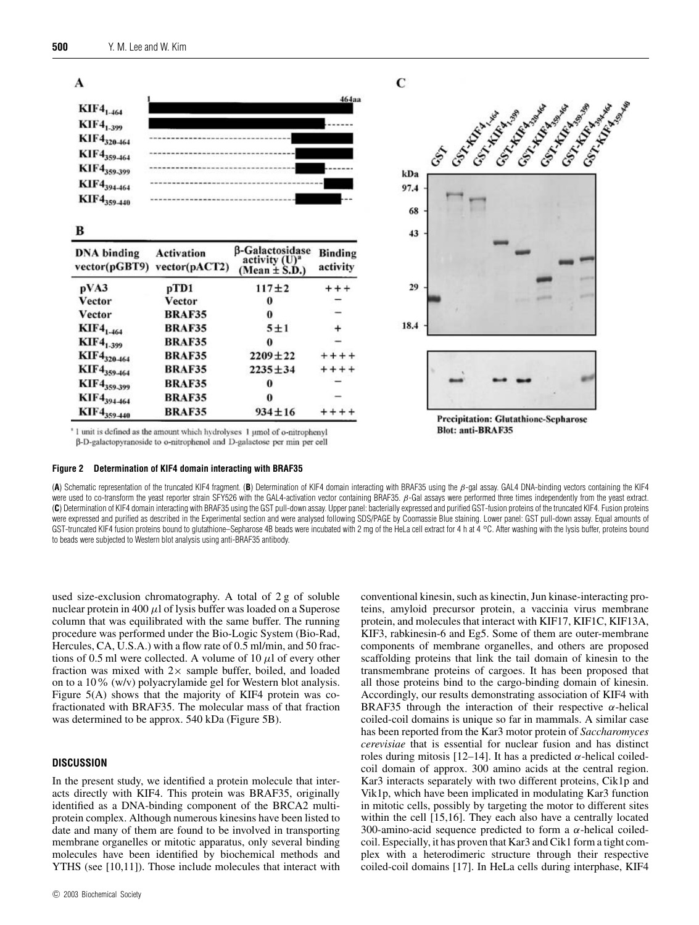

<sup>\*</sup> 1 unit is defined as the amount which hydrolyses 1 umol of o-nitrophenyl

β-D-galactopyranoside to o-nitrophenol and D-galactose per min per cell

#### **Figure 2 Determination of KIF4 domain interacting with BRAF35**

(**A**) Schematic representation of the truncated KIF4 fragment. (**B**) Determination of KIF4 domain interacting with BRAF35 using the β-gal assay. GAL4 DNA-binding vectors containing the KIF4 were used to co-transform the yeast reporter strain SFY526 with the GAL4-activation vector containing BRAF35. β-Gal assays were performed three times independently from the yeast extract. (**C**) Determination of KIF4 domain interacting with BRAF35 using the GST pull-down assay. Upper panel: bacterially expressed and purified GST-fusion proteins of the truncated KIF4. Fusion proteins were expressed and purified as described in the Experimental section and were analysed following SDS/PAGE by Coomassie Blue staining. Lower panel: GST pull-down assay. Equal amounts of GST-truncated KIF4 fusion proteins bound to glutathione–Sepharose 4B beads were incubated with 2 mg of the HeLa cell extract for 4 h at 4 <sup>°</sup>C. After washing with the lysis buffer, proteins bound to beads were subjected to Western blot analysis using anti-BRAF35 antibody.

used size-exclusion chromatography. A total of 2 g of soluble nuclear protein in 400  $\mu$ l of lysis buffer was loaded on a Superose column that was equilibrated with the same buffer. The running procedure was performed under the Bio-Logic System (Bio-Rad, Hercules, CA, U.S.A.) with a flow rate of 0.5 ml/min, and 50 fractions of 0.5 ml were collected. A volume of  $10 \mu l$  of every other fraction was mixed with  $2 \times$  sample buffer, boiled, and loaded on to a 10% (w/v) polyacrylamide gel for Western blot analysis. Figure 5(A) shows that the majority of KIF4 protein was cofractionated with BRAF35. The molecular mass of that fraction was determined to be approx. 540 kDa (Figure 5B).

### **DISCUSSION**

In the present study, we identified a protein molecule that interacts directly with KIF4. This protein was BRAF35, originally identified as a DNA-binding component of the BRCA2 multiprotein complex. Although numerous kinesins have been listed to date and many of them are found to be involved in transporting membrane organelles or mitotic apparatus, only several binding molecules have been identified by biochemical methods and YTHS (see [10,11]). Those include molecules that interact with

conventional kinesin, such as kinectin, Jun kinase-interacting proteins, amyloid precursor protein, a vaccinia virus membrane protein, and molecules that interact with KIF17, KIF1C, KIF13A, KIF3, rabkinesin-6 and Eg5. Some of them are outer-membrane components of membrane organelles, and others are proposed scaffolding proteins that link the tail domain of kinesin to the transmembrane proteins of cargoes. It has been proposed that all those proteins bind to the cargo-binding domain of kinesin. Accordingly, our results demonstrating association of KIF4 with BRAF35 through the interaction of their respective *α*-helical coiled-coil domains is unique so far in mammals. A similar case has been reported from the Kar3 motor protein of *Saccharomyces cerevisiae* that is essential for nuclear fusion and has distinct roles during mitosis [12–14]. It has a predicted *α*-helical coiledcoil domain of approx. 300 amino acids at the central region. Kar3 interacts separately with two different proteins, Cik1p and Vik1p, which have been implicated in modulating Kar3 function in mitotic cells, possibly by targeting the motor to different sites within the cell [15,16]. They each also have a centrally located 300-amino-acid sequence predicted to form a *α*-helical coiledcoil. Especially, it has proven that Kar3 and Cik1 form a tight complex with a heterodimeric structure through their respective coiled-coil domains [17]. In HeLa cells during interphase, KIF4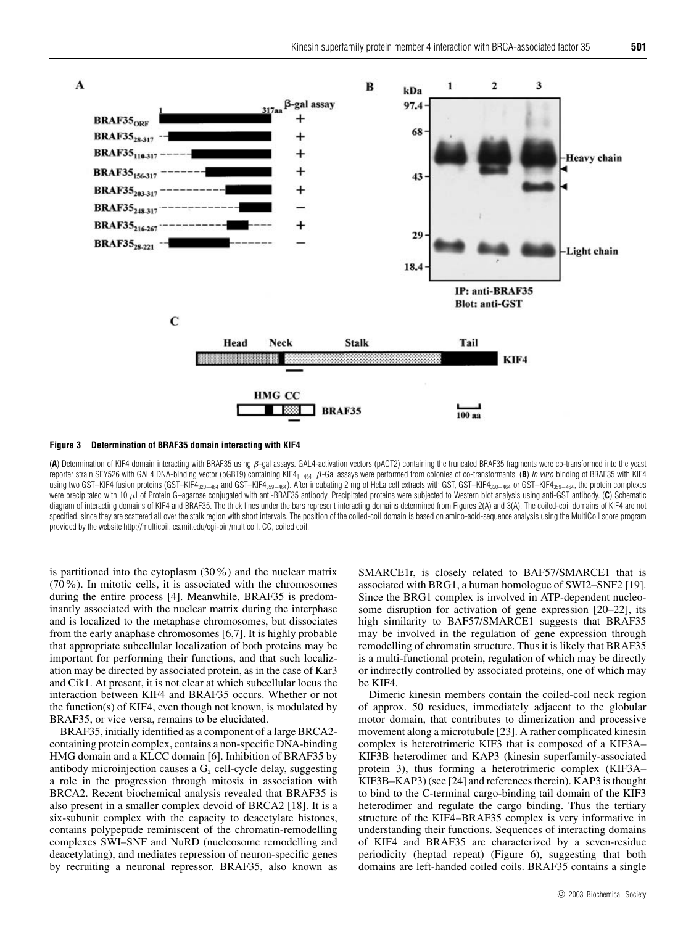

#### **Figure 3 Determination of BRAF35 domain interacting with KIF4**

(**A**) Determination of KIF4 domain interacting with BRAF35 using β-gal assays. GAL4-activation vectors (pACT2) containing the truncated BRAF35 fragments were co-transformed into the yeast reporter strain SFY526 with GAL4 DNA-binding vector (pGBT9) containing KIF4<sub>1−464</sub>. *β*-Gal assays were performed from colonies of co-transformants. (**B**) *In vitro* binding of BRAF35 with KIF4 using two GST–KIF4 fusion proteins (GST–KIF4<sub>320–464</sub> and GST–KIF4<sub>359–464</sub>). After incubating 2 mg of HeLa cell extracts with GST, GST–KIF4<sub>320–464</sub> or GST–KIF4<sub>359–464</sub>, the protein complexes were precipitated with 10  $\mu$ l of Protein G-agarose conjugated with anti-BRAF35 antibody. Precipitated proteins were subjected to Western blot analysis using anti-GST antibody. (C) Schematic diagram of interacting domains of KIF4 and BRAF35. The thick lines under the bars represent interacting domains determined from Figures 2(A) and 3(A). The coiled-coil domains of KIF4 are not specified, since they are scattered all over the stalk region with short intervals. The position of the coiled-coil domain is based on amino-acid-sequence analysis using the MultiCoil score program provided by the website http://multicoil.lcs.mit.edu/cgi-bin/multicoil. CC, coiled coil.

is partitioned into the cytoplasm (30%) and the nuclear matrix (70%). In mitotic cells, it is associated with the chromosomes during the entire process [4]. Meanwhile, BRAF35 is predominantly associated with the nuclear matrix during the interphase and is localized to the metaphase chromosomes, but dissociates from the early anaphase chromosomes [6,7]. It is highly probable that appropriate subcellular localization of both proteins may be important for performing their functions, and that such localization may be directed by associated protein, as in the case of Kar3 and Cik1. At present, it is not clear at which subcellular locus the interaction between KIF4 and BRAF35 occurs. Whether or not the function(s) of KIF4, even though not known, is modulated by BRAF35, or vice versa, remains to be elucidated.

BRAF35, initially identified as a component of a large BRCA2 containing protein complex, contains a non-specific DNA-binding HMG domain and a KLCC domain [6]. Inhibition of BRAF35 by antibody microinjection causes a  $G_2$  cell-cycle delay, suggesting a role in the progression through mitosis in association with BRCA2. Recent biochemical analysis revealed that BRAF35 is also present in a smaller complex devoid of BRCA2 [18]. It is a six-subunit complex with the capacity to deacetylate histones, contains polypeptide reminiscent of the chromatin-remodelling complexes SWI–SNF and NuRD (nucleosome remodelling and deacetylating), and mediates repression of neuron-specific genes by recruiting a neuronal repressor. BRAF35, also known as

SMARCE1r, is closely related to BAF57/SMARCE1 that is associated with BRG1, a human homologue of SWI2–SNF2 [19]. Since the BRG1 complex is involved in ATP-dependent nucleosome disruption for activation of gene expression [20–22], its high similarity to BAF57/SMARCE1 suggests that BRAF35 may be involved in the regulation of gene expression through remodelling of chromatin structure. Thus it is likely that BRAF35 is a multi-functional protein, regulation of which may be directly or indirectly controlled by associated proteins, one of which may be KIF4.

Dimeric kinesin members contain the coiled-coil neck region of approx. 50 residues, immediately adjacent to the globular motor domain, that contributes to dimerization and processive movement along a microtubule [23]. A rather complicated kinesin complex is heterotrimeric KIF3 that is composed of a KIF3A– KIF3B heterodimer and KAP3 (kinesin superfamily-associated protein 3), thus forming a heterotrimeric complex (KIF3A– KIF3B–KAP3) (see [24] and references therein). KAP3 is thought to bind to the C-terminal cargo-binding tail domain of the KIF3 heterodimer and regulate the cargo binding. Thus the tertiary structure of the KIF4–BRAF35 complex is very informative in understanding their functions. Sequences of interacting domains of KIF4 and BRAF35 are characterized by a seven-residue periodicity (heptad repeat) (Figure 6), suggesting that both domains are left-handed coiled coils. BRAF35 contains a single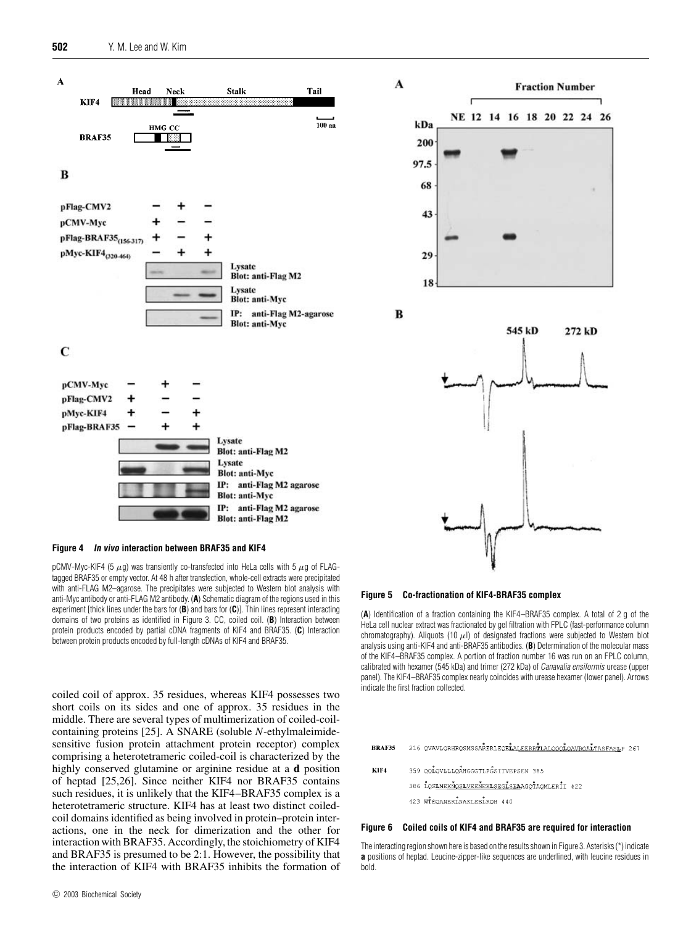

#### **Figure 4 In vivo interaction between BRAF35 and KIF4**

pCMV-Myc-KIF4 (5  $\mu$ g) was transiently co-transfected into HeLa cells with 5  $\mu$ g of FLAGtagged BRAF35 or empty vector. At 48 h after transfection, whole-cell extracts were precipitated with anti-FLAG M2–agarose. The precipitates were subjected to Western blot analysis with anti-Myc antibody or anti-FLAG M2 antibody. (**A**) Schematic diagram of the regions used in this experiment [thick lines under the bars for (**B**) and bars for (**C**)]. Thin lines represent interacting domains of two proteins as identified in Figure 3. CC, coiled coil. (**B**) Interaction between protein products encoded by partial cDNA fragments of KIF4 and BRAF35. (**C**) Interaction between protein products encoded by full-length cDNAs of KIF4 and BRAF35.

coiled coil of approx. 35 residues, whereas KIF4 possesses two short coils on its sides and one of approx. 35 residues in the middle. There are several types of multimerization of coiled-coilcontaining proteins [25]. A SNARE (soluble *N*-ethylmaleimidesensitive fusion protein attachment protein receptor) complex comprising a heterotetrameric coiled-coil is characterized by the highly conserved glutamine or arginine residue at a **d** position of heptad [25,26]. Since neither KIF4 nor BRAF35 contains such residues, it is unlikely that the KIF4–BRAF35 complex is a heterotetrameric structure. KIF4 has at least two distinct coiledcoil domains identified as being involved in protein–protein interactions, one in the neck for dimerization and the other for interaction with BRAF35. Accordingly, the stoichiometry of KIF4 and BRAF35 is presumed to be 2:1. However, the possibility that the interaction of KIF4 with BRAF35 inhibits the formation of

#### **Figure 5 Co-fractionation of KIF4-BRAF35 complex**

(**A**) Identification of a fraction containing the KIF4–BRAF35 complex. A total of 2 g of the HeLa cell nuclear extract was fractionated by gel filtration with FPLC (fast-performance column chromatography). Aliquots (10  $\mu$ l) of designated fractions were subjected to Western blot analysis using anti-KIF4 and anti-BRAF35 antibodies. (**B**) Determination of the molecular mass of the KIF4–BRAF35 complex. A portion of fraction number 16 was run on an FPLC column, calibrated with hexamer (545 kDa) and trimer (272 kDa) of Canavalia ensiformis urease (upper panel). The KIF4–BRAF35 complex nearly coincides with urease hexamer (lower panel). Arrows indicate the first fraction collected.

216 QVAVLQRHRQSMSSARERLEQELALEERRTLALQOOLOAVROALTASFASLP 267 **BRAF35** 

- KIF4 359 QQLQVLLLQAHGGGTLPGSITVEPSEN 385
	- 386 LOSIMEKNOSIVEENEKLSEGLSEAAGOTAOMLERII 422
	- 423 WTEQANEKLNAKLEELROH 440

# **Figure 6 Coiled coils of KIF4 and BRAF35 are required for interaction**

The interacting region shown here is based on the results shown in Figure 3. Asterisks (\*) indicate **a** positions of heptad. Leucine-zipper-like sequences are underlined, with leucine residues in bold.